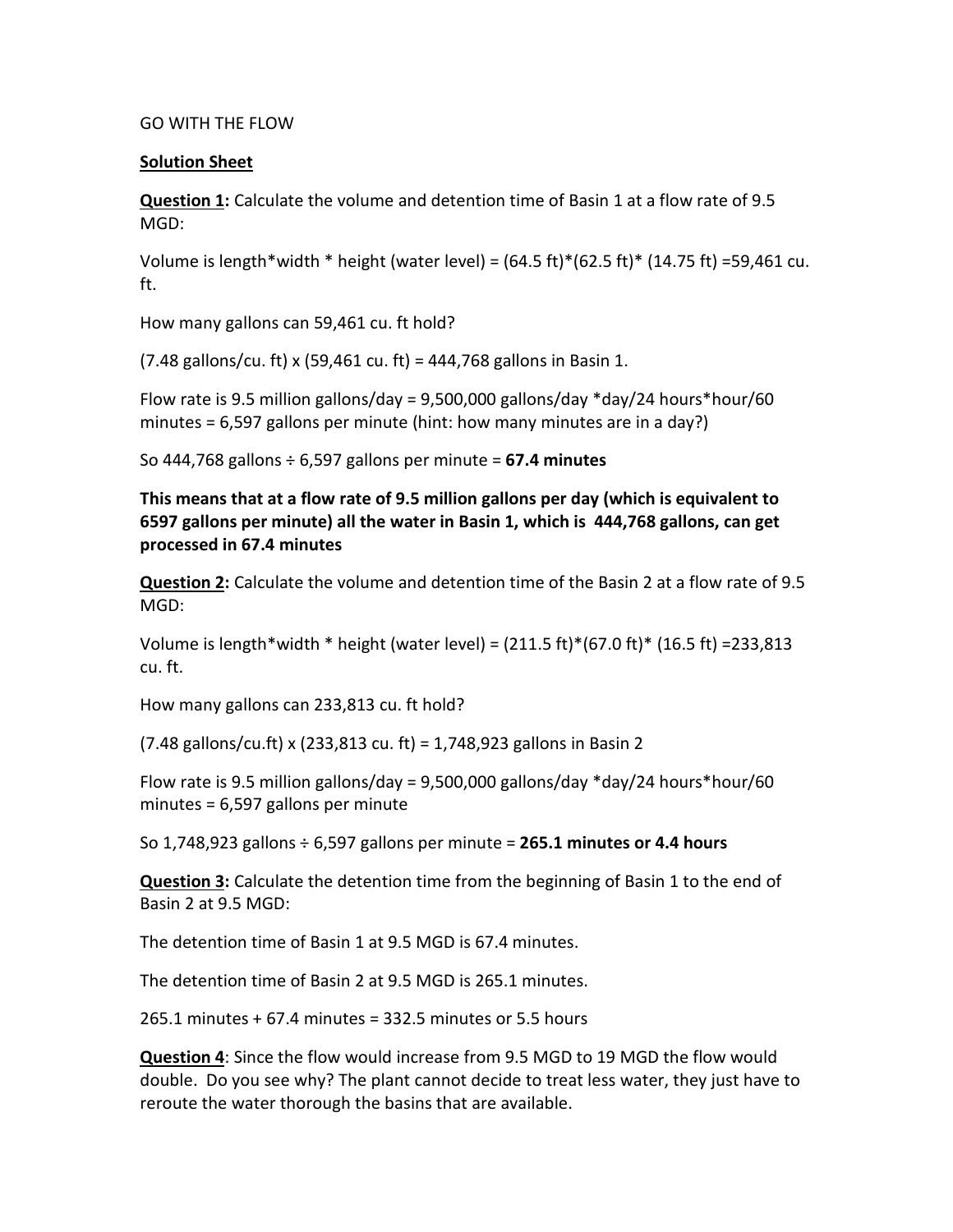## GO WITH THE FLOW

## **Solution Sheet**

**Question 1:** Calculate the volume and detention time of Basin 1 at a flow rate of 9.5 MGD:

Volume is length\*width \* height (water level) =  $(64.5 \text{ ft})*(62.5 \text{ ft})*(14.75 \text{ ft}) = 59,461 \text{ cu}.$ ft.

How many gallons can 59,461 cu. ft hold?

 $(7.48 \text{ gallons/cu. ft}) \times (59,461 \text{ cu. ft}) = 444,768 \text{ gallons in Basin 1.}$ 

Flow rate is 9.5 million gallons/day = 9,500,000 gallons/day \*day/24 hours\*hour/60 minutes = 6,597 gallons per minute (hint: how many minutes are in a day?)

So 444,768 gallons ÷ 6,597 gallons per minute = **67.4 minutes**

**This means that at a flow rate of 9.5 million gallons per day (which is equivalent to 6597 gallons per minute) all the water in Basin 1, which is 444,768 gallons, can get processed in 67.4 minutes**

**Question 2:** Calculate the volume and detention time of the Basin 2 at a flow rate of 9.5 MGD:

Volume is length\*width \* height (water level) =  $(211.5 \text{ ft})*(67.0 \text{ ft})*(16.5 \text{ ft}) = 233,813$ cu. ft.

How many gallons can 233,813 cu. ft hold?

(7.48 gallons/cu.ft) x (233,813 cu. ft) = 1,748,923 gallons in Basin 2

Flow rate is 9.5 million gallons/day = 9,500,000 gallons/day  $*$ day/24 hours $*$ hour/60 minutes = 6,597 gallons per minute

So 1,748,923 gallons ÷ 6,597 gallons per minute = **265.1 minutes or 4.4 hours**

**Question 3:** Calculate the detention time from the beginning of Basin 1 to the end of Basin 2 at 9.5 MGD:

The detention time of Basin 1 at 9.5 MGD is 67.4 minutes.

The detention time of Basin 2 at 9.5 MGD is 265.1 minutes.

265.1 minutes + 67.4 minutes = 332.5 minutes or 5.5 hours

**Question 4**: Since the flow would increase from 9.5 MGD to 19 MGD the flow would double. Do you see why? The plant cannot decide to treat less water, they just have to reroute the water thorough the basins that are available.